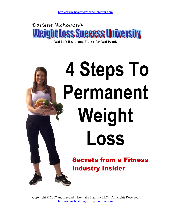

Real-Life Health and Fitness for Real People

# 4 Steps To Permanent Weight Loss

Secrets from a Fitness Industry Insider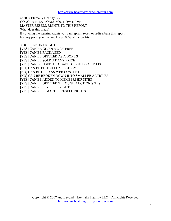© 2007 Eternally Healthy LLC CONGRATULATIONS! YOU NOW HAVE MASTER RESELL RIGHTS TO THIS REPORT What does this mean? By owning the Reprint Rights you can reprint, resell or redistribute this report For any price you like and keep 100% of the profits

YOUR REPRINT RIGHTS [YES] CAN BE GIVEN AWAY FREE [YES] CAN BE PACKAGED [YES] CAN BE OFFERED AS A BONUS [YES] CAN BE SOLD AT ANY PRICE [YES] CAN BE USED AS A BAIT TO BUILD YOUR LIST [NO] CAN BE EDITED COMPLETELY [NO] CAN BE USED AS WEB CONTENT [NO] CAN BE BROKEN DOWN INTO SMALLER ARTICLES [YES] CAN BE ADDED TO MEMBERSHIP SITES [YES] CAN BE OFFERED THROUGH AUCTION SITES [YES] CAN SELL RESELL RIGHTS [YES] CAN SELL MASTER RESELL RIGHTS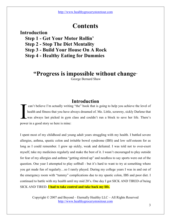### **Contents**

#### Introduction

- Step 1 Get Your Motor Rollin'
- Step 2 Stop The Diet Mentality
- Step 3 Build Your House On A Rock
- Step 4 Healthy Eating for Dummies

#### "Progress is impossible without change"

George Bernard Shaw

#### **Introduction**

 can't believe I'm actually writing "the" book that is going to help you achieve the level of health and fitness that you have always dreamed of. Me. Little, scrawny, sickly Darlene that was always last picked in gym class and couldn't run a block to save her life. There's can't believe I'm actually writing<br>health and fitness that you have a<br>was always last picked in gym<br>power in a good story so here is mine:

I spent most of my childhood and young adult years struggling with my health. I battled severe allergies, asthma, spastic colon and irritable bowel syndrome (IBS) and low self-esteem for as long as I could remember. I grew up sickly, weak and defeated. I was told not to over-exert myself, take my medicines regularly and make the best of it. I wasn't encouraged to play outside for fear of my allergies and asthma "getting stirred up" and needless to say sports were out of the question. One year I attempted to play softball - but it's hard to want to try at something where you get made fun of regularly…so I rarely played. During my college years I was in and out of the emergency room with "tummy" complications due to my spastic colon, IBS and poor diet. I continued to battle with my health until my mid 20's. One day I got SICK AND TIRED of being SICK AND TIRED. I had to take control and take back my life.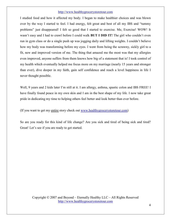I studied food and how it affected my body. I began to make healthier choices and was blown over by the way I started to feel. I had energy, felt great and best of all my IBS and "tummy problems" just disappeared! I felt so good that I started to exercise. Me, Exercise! WOW! It wasn't easy and I had to crawl before I could walk BUT I DID IT! The girl who couldn't even run in gym class or do a single push up was jogging daily and lifting weights. I couldn't believe how my body was transforming before my eyes. I went from being the scrawny, sickly girl to a fit, new and improved version of me. The thing that amazed me the most was that my allergies even improved, anyone suffers from them knows how big of a statement that is! I took control of my health which eventually helped me focus more on my marriage (nearly 15 years and stronger than ever), dive deeper in my faith, gain self confidence and reach a level happiness in life I never thought possible.

Well, 9 years and 2 kids later I'm still at it. I am allergy, asthma, spastic colon and IBS FREE! I have finally found peace in my own skin and I am in the best shape of my life. I now take great pride in dedicating my time to helping others feel better and look better than ever before.

(If you want to get my entire story check out www.healthygrocerystoretour.com)

So are you ready for this kind of life change? Are you sick and tired of being sick and tired? Great! Let's see if you are ready to get started.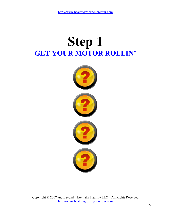## Step 1 GET YOUR MOTOR ROLLIN'

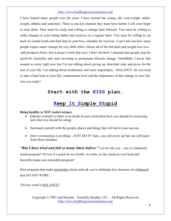I have trained many people over the years. I have trained the young, old, over-weight, underweight, athletic and sedentary. There is one key element they must have before I will even begin to train them. They must be ready and willing to change their lifestyle. You must be willing to make changes to your eating habits and exercise on a regular basis. You must be willing to cut back on certain foods and find time in your busy schedule for exercise. I can't tell you how many people expect major change for very little effort. (hence all of the fad diets and weight-loss-in-a - -pill products) Sorry, but it doesn't work that way! I don't do diets! I demand that people stop the quick-fix mentality and start investing in permanent lifestyle change. Ooohhhhh, I know that sounds so scary right now but I'm not talking about giving up chocolate cake and pizza for the rest of your life. I'm talking about moderation and more importantly - BALANCE. So you need to take a hard look at your life, commitment level and the importance of this change in your life. Are you ready?

#### Start with the KISS plan…

#### Keep It Simple Stupid

#### Being healthy is NOT rocket science.

- Educate yourself so there is no doubt in your mind about how you should be exercising and what you should be eating.
- Surround yourself with the people, places and things that will aid in your success.
- Don't overanalyze everything...JUST DO IT! Sure, you will screw up but you will learn from those mistakes.

**"But I have tried and fail so many times before."** Let me ask you...was it a balanced,

sound program? Or was it a quick fix in a bottle, no carbs, no fat, stand on your head and basically-make-you-miserable-program?

Diet programs that make unrealistic claims and ask you to eliminate key elements of a balanced diet DO NOT WORK!

The key word is BALANCE!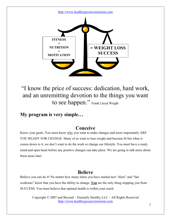

"I know the price of success: dedication, hard work, and an unremitting devotion to the things you want to see happen." Frank Lloyd Wright

#### My program is very simple…

#### Conceive

Know your goals. You must know why you want to make changes and more importantly ARE YOU READY FOR CHANGE. Many of us want to lose weight and become fit but when it comes down to it, we don't want to do the work or change our lifestyle. You must have a ready mind and open heart before any positive changes can take place. We are going to talk more about these areas later.

#### Believe

Believe you can do it! No matter how many times you have started new "diets" and "fad workouts" know that you have the ability to change. You are the only thing stopping you from SUCCESS. You must believe that optimal health is within your reach.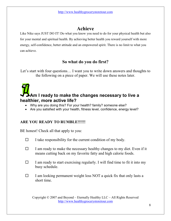#### Achieve

Like Nike says JUST DO IT! Do what you know you need to do for your physical health but also for your mental and spiritual health. By achieving better health you reward yourself with more energy, self-confidence, better attitude and an empowered spirit. There is no limit to what you can achieve.

#### So what do you do first?

Let's start with four questions... I want you to write down answers and thoughts to the following on a piece of paper. We will use these notes later.

### Am I ready to make the changes necessary to live a healthier, more active life?

- Why are you doing this? For your health? family? someone else?
- Are you satisfied with your health, fitness level, confidence, energy level?

#### ARE YOU READY TO RUMBLE!!!!!!

BE honest! Check all that apply to you:

- $\Box$  I take responsibility for the current condition of my body.
- $\Box$  I am ready to make the necessary healthy changes to my diet. Even if it means cutting back on my favorite fatty and high calorie foods.
- $\Box$  I am ready to start exercising regularly. I will find time to fit it into my busy schedule.
- $\Box$  I am looking permanent weight loss NOT a quick fix that only lasts a short time.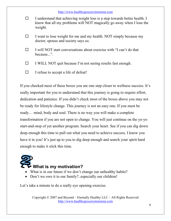|        | http://www.healthygrocerystoretour.com                                                                                                                        |
|--------|---------------------------------------------------------------------------------------------------------------------------------------------------------------|
| $\Box$ | I understand that achieving weight loss is a step towards better health. I<br>know that all my problems will NOT magically go away when I lose the<br>weight. |
| □      | I want to lose weight for me and my health. NOT simply because my<br>doctor, spouse and society says so.                                                      |
| □      | I will NOT start conversations about exercise with "I can't do that<br>because".                                                                              |
|        | I WILL NOT quit because I'm not seeing results fast enough.                                                                                                   |
|        | I refuse to accept a life of defeat!                                                                                                                          |

If you checked most of these boxes you are one step closer to wellness success. It's really important for you to understand that this journey is going to require effort, dedication and patience. If you didn't check most of the boxes above you may not be ready for lifestyle change. This journey is not an easy one. If you must be ready… mind, body and soul. There is no way you will make a complete transformation if you are not open to change. You will just continue on the yo-yo start-and-stop of yet another program. Search your heart. See if you can dig down deep enough this time to pull out what you need to achieve success. I know you have it in you! It's just up to you to dig deep enough and search your spirit hard enough to make it stick this time.



- What is in our future if we don't change our unhealthy habits?
- Don't we owe it to our family?..especially our children!

Let's take a minute to do a really eye opening exercise.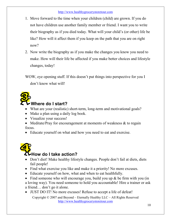- 1. Move forward to the time when your children (child) are grown. If you do not have children use another family member or friend. I want you to write their biography as if you died today. What will your child's (or other) life be like? How will it affect them if you keep on the path that you are on right now?
- 2. Now write the biography as if you make the changes you know you need to make. How will their life be affected if you make better choices and lifestyle changes, today!

WOW, eye opening stuff. If this doesn't put things into perspective for you I don't know what will!

## Where do I start?

- What are your (realistic) short-term, long-term and motivational goals?
- Make a plan using a daily log book.
- Visualize your success!
- Meditate/Pray for encouragement at moments of weakness  $\&$  to regain focus.
- Educate yourself on what and how you need to eat and exercise.

## How do I take action?

- Don't diet! Make healthy lifestyle changes. People don't fail at diets, diets fail people!
- Find what exercise you like and make it a priority! No more excuses.
- Educate yourself on how, what and when to eat healthfully.
- Find someone who will encourage you, build you up  $\&$  be firm with you (in

a loving way). You need someone to hold you accountable! Hire a trainer or ask a friend… don't go it alone.

• JUST DO IT! No more excuses! Refuse to accept a life of defeat!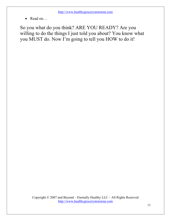• Read on...

So you what do you think? ARE YOU READY? Are you willing to do the things I just told you about? You know what you MUST do. Now I'm going to tell you HOW to do it!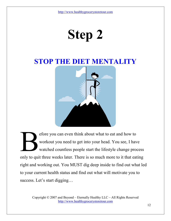## Step 2

## STOP THE DIET MENTALITY



efore you can even think about what to eat and how to workout you need to get into your head. You see, I have watched countless people start the lifestyle change process only to quit three weeks later. There is so much more to it that eating right and working out. You MUST dig deep inside to find out what led to your current health status and find out what will motivate you to success. Let's start digging...  $\mathbf{B}$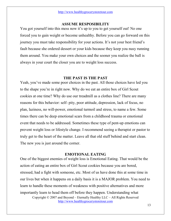#### ASSUME RESPOSIBILITY

You got yourself into this mess now it's up to you to get yourself out! No one forced you to gain weight or become unhealthy. Before you can go forward on this journey you must take responsibility for your actions. It's not your best friend's fault because she ordered dessert or your kids because they keep you nusy running them around. You make your own choices and the sooner you realize the ball is always in your court the closer you are to weight loss success.

#### THE PAST IS THE PAST

Yeah, you've made some poor choices in the past. All those choices have led you to the shape you're in right now. Why do we eat an entire box of Girl Scout cookies at one time? Why do use our treadmill as a clothes line? There are many reasons for this behavior: self- pity, poor attitude, depression, lack of focus, no plan, laziness, no will-power, emotional turmoil and stress, to name a few. Some times there can be deep emotional scars from a childhood trauma or emotional event that needs to be addressed. Sometimes these type of pent-up emotions can prevent weight loss or lifestyle change. I recommend seeing a therapist or pastor to truly get to the heart of the matter. Leave all that old stuff behind and start clean. The new you is just around the corner.

#### EMOTIONAL EATING

Copyright © 2007 and Beyond – Eternally Healthy LLC – All Rights Reserved http://www.healthygrocerystoretour.com One of the biggest enemies of weight loss is Emotional Eating. That would be the action of eating an entire box of Girl Scout cookies because you are bored, stressed, had a fight with someone, etc. Most of us have done this at some time in our lives but when it happens on a daily basis it is a MAJOR problem. You need to learn to handle these moments of weakness with positive alternatives and more importantly learn to head them off before they happen. Understanding what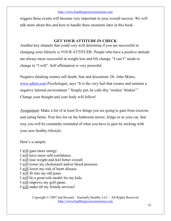triggers these events will become very important in your overall success. We will talk more about this and how to handle these moments later in this book.

#### GET YOUR ATTITUDE IN CHECK

Another key element that could very well determine if you are successful in changing your lifestyle is YOUR ATTITUDE. People who have a positive attitude are always more successful in weight loss and life change. "I can't" needs to change to "I will". Self affirmation is very powerful.

Negative thinking creates self doubt, fear and discontent. Dr. John Sklare, www.ediets.com Psychologist, says "It is the very fuel that creates and sustains a negative internal environment." Simply put, he calls this "stinkin' thinkin'". Change your thought and your body will follow!

Assignment: Make a list of at least five things you are going to gain from exercise and eating better. Post this list on the bathroom mirror, fridge or in your car, that way you will be constantly reminded of what you have to gain by sticking with your new healthy lifestyle.

Here's a sample:

I will gain more energy. I will have more self-confidence. I will lose weight and feel better overall. I will lower my cholesterol and/or blood pressure. I will lower my risk of heart disease. I will fit into my old jeans. I will be a great role model for my kids. I will improve my golf game. I will make all my friends envious!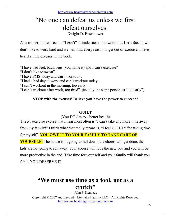## "No one can defeat us unless we first defeat ourselves.

Dwight D. Eisenhower

As a trainer, I often see the "I can't" attitude sneak into workouts. Let's face it, we don't like to work hard and we will find every reason to get out of exercise. I have heard all the excuses in the book.

"I have bad feet, back, legs (you name it) and I can't exercise"

"I don't like to sweat".

"I have PMS today and can't workout".

"I had a bad day at work and can't workout today".

"I can't workout in the morning, too early".

"I can't workout after work, too tired". (usually the same person as "too early")

#### STOP with the excuses! Believe you have the power to succeed!

#### **GUILT**

(You DO deserve better health)

The #1 exercise excuse that I hear most often is "I can't take any more time away from my family!" I think what that really means is, "I feel GUILTY for taking time for myself". YOU OWE IT TO YOUR FAMILY TO TAKE CARE OF

YOURSELF! The house isn't going to fall down, the chores will get done, the kids are not going to run away, your spouse will love the new you and you will be more productive in the end. Take time for your self and your family will thank you for it. YOU DESERVE IT!

### "We must use time as a tool, not as a crutch"

John F. Kennedy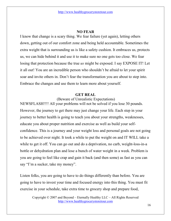#### NO FEAR

I know that change is a scary thing. We fear failure (yet again), letting others down, getting out of our comfort zone and being held accountable. Sometimes the extra weight that is surrounding us is like a safety cushion. It embraces us, protects us, we can hide behind it and use it to make sure no one gets too close. We fear losing that protection because the true us might be exposed. I say EXPOSE IT! Let it all out! You are an incredible person who shouldn't be afraid to let your spirit soar and invite others in. Don't fear the transformation you are about to step into. Embrace the changes and use them to learn more about yourself.

#### GET REAL

(Beware of Unrealistic Expectations)

NEWSFLASH!!!! All your problems will not be solved if you lose 30 pounds. However, the journey to get there may just change your life. Each step in your journey to better health is going to teach you about your strengths, weaknesses, educate you about proper nutrition and exercise as well as build your selfconfidence. This is a journey and your weight loss and personal goals are not going to be achieved over night. It took a while to put the weight on and IT WILL take a while to get it off. You can go out and do a deprivation, no carb, weight-loss-in-a bottle or dehydration plan and lose a bunch of water weight in a week. Problem is you are going to feel like crap and gain it back (and then some) as fast as you can say "I'm a sucker, take my money".

Listen folks, you are going to have to do things differently than before. You are going to have to invest your time and focused energy into this thing. You must fit exercise in your schedule, take extra time to grocery shop and prepare food,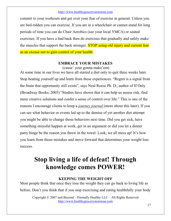commit to your workouts and get over your fear of exercise in general. Unless you are bed-ridden you can exercise. If you are in a wheelchair or cannot stand for long periods of time you can do Chair Aerobics (see your local YMCA) or seated exercises. If you have a bad back then do exercises that gradually and safely make the muscles that support the back stronger. **STOP** using old injury and current fear as an excuse not to gain control of your health.

#### EMBRACE YOUR MISTAKES

(cause' your gonna make'em)

At some time in our lives we have all started a diet only to quit three weeks later. Stop beating yourself up and learn from these experiences. "Regret is a signal from the brain that opportunity still exists", says Neal Roese Ph. D., author of If Only (Broadway Books, 2005) "Studies have shown that it can help us assess risk, find more creative solutions and confer a sense of control over life." This is one of the reasons I encourage clients to keep a journey journal (more about this later). If you can see what behavior or events led up to the demise of yet another diet attempt you might be able to change those behaviors next time. Did you get sick, have something stressful happen at work, get in an argument or did you let a dinner party binge be the reason you threw in the towel. Look, we all mess up! It's how you learn from those mistakes and move forward that determines your weight loss success.

## Stop living a life of defeat! Through knowledge comes POWER!

#### KEEPING THE WEIGHT OFF

Most people think that once they lose the weight they can go back to living life as before. Don't you think that if you stop exercising and eating healthfully your body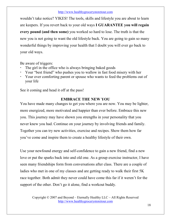wouldn't take notice? YIKES! The tools, skills and lifestyle you are about to learn are keepers. If you revert back to your old ways I GUARANTEE you will regain every pound (and then some) you worked so hard to lose. The truth is that the new you is not going to want the old lifestyle back. You are going to gain so many wonderful things by improving your health that I doubt you will ever go back to your old ways.

Be aware of triggers:

- -The girl in the office who is always bringing baked goods
- -Your "best friend" who pushes you to wallow in fast food misery with her
- - Your over comforting parent or spouse who wants to feed the problems out of your life

See it coming and head it off at the pass!

#### EMBRACE THE NEW YOU

You have made many changes to get you where you are now. You may be lighter, more energized, more motivated and happier than ever before. Embrace this new you. This journey may have shown you strengths in your personality that you never knew you had. Continue on your journey by involving friends and family. Together you can try new activities, exercise and recipes. Show them how far you've come and inspire them to create a healthy lifestyle of their own.

Use your newfound energy and self-confidence to gain a new friend, find a new love or put the sparks back into and old one. As a group exercise instructor, I have seen many friendships form from conversations after class. There are a couple of ladies who met in one of my classes and are getting ready to walk their first 5K race together. Both admit they never could have come this far if it weren't for the support of the other. Don't go it alone, find a workout buddy.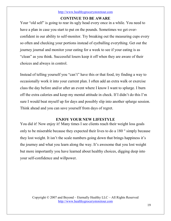#### CONTINUE TO BE AWARE

Your "old self" is going to rear its ugly head every once in a while. You need to have a plan in case you start to put on the pounds. Sometimes we get overconfident in our ability to self-monitor. Try breaking out the measuring cups every so often and checking your portions instead of eyeballing everything. Get out the journey journal and monitor your eating for a week to see if your eating is as "clean" as you think. Successful losers keep it off when they are aware of their choices and always in control.

Instead of telling yourself you "can't" have this or that food, try finding a way to occasionally work it into your current plan. I often add an extra walk or exercise class the day before and/or after an event where I know I want to splurge. I burn off the extra calories and keep my mental attitude in check. If I didn't do this I'm sure I would beat myself up for days and possibly slip into another splurge session. Think ahead and you can save yourself from days of regret.

#### ENJOY YOUR NEW LIFESTYLE

You did it! Now enjoy it! Many times I see clients reach their weight loss goals only to be miserable because they expected their lives to do a 180 ° simply because they lost weight. It isn't the scale numbers going down that brings happiness it's the journey and what you learn along the way. It's awesome that you lost weight but more importantly you have learned about healthy choices, digging deep into your self-confidence and willpower.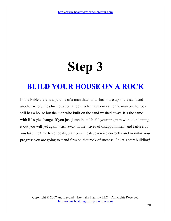## Step 3

## BUILD YOUR HOUSE ON A ROCK

In the Bible there is a parable of a man that builds his house upon the sand and another who builds his house on a rock. When a storm came the man on the rock still has a house but the man who built on the sand washed away. It's the same with lifestyle change. If you just jump in and build your program without planning it out you will yet again wash away in the waves of disappointment and failure. If you take the time to set goals, plan your meals, exercise correctly and monitor your progress you are going to stand firm on that rock of success. So let's start building!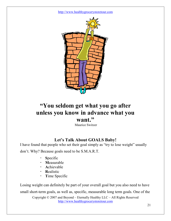

### "You seldom get what you go after unless you know in advance what you want."

Maurice Switzer

#### Let's Talk About GOALS Baby!

I have found that people who set their goal simply as "try to lose weight" usually

don't. Why? Because goals need to be S.M.A.R.T.

- -Specific
- -Measurable
- -Achievable
- -Realistic
- -Time Specific

Losing weight can definitely be part of your overall goal but you also need to have small short-term goals, as well as, specific, measurable long term goals. One of the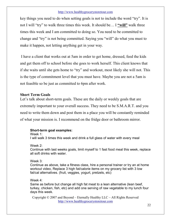key things you need to do when setting goals is not to include the word "try". It is not I will "try" to walk three times this week. It should be… I "will" walk three times this week and I am committed to doing so. You need to be committed to change and "try" is not being committed. Saying you "will" do what you must to make it happen, not letting anything get in your way.

 I have a client that works out at 5am in order to get home, dressed, feed the kids and get them off to school before she goes to work herself. This client knows that if she waits until she gets home to "try" and workout, most likely she will not. This is the type of commitment level that you must have. Maybe you are not a 5am is not feasible so be just as committed to 6pm after work.

#### Short Term Goals

Let's talk about short-term goals. These are the daily or weekly goals that are extremely important to your overall success. They need to be S.M.A.R.T. and you need to write them down and post them in a place you will be constantly reminded of what your mission is. I recommend on the fridge door or bathroom mirror.

#### Short-term goal examples:

Week 1:

I will walk 3 times this week and drink a full glass of water with every meal

Week 2:

Continue with last weeks goals, limit myself to 1 fast food meal this week, replace all soft drinks with water.

#### Week 3:

Continue as above, take a fitness class, hire a personal trainer or try an at home workout video, Replace 3 high fat/calorie items on my grocery list with 3 low fat/cal alternatives. (fruit, veggies, yogurt, pretzels, etc)

#### Week 4:

Same as before but change all high fat meat to a lean alternative (lean beef, turkey, chicken, fish, etc) and add one serving of raw vegetable to my lunch four days this week.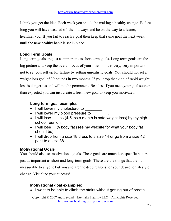I think you get the idea. Each week you should be making a healthy change. Before long you will have weaned off the old ways and be on the way to a leaner, healthier you. If you fail to reach a goal then keep that same goal the next week until the new healthy habit is set in place.

#### Long Term Goals

Long term goals are just as important as short term goals. Long term goals are the big picture and keep the overall focus of your mission. It is very, very important not to set yourself up for failure by setting unrealistic goals. You should not set a weight loss goal of 30 pounds in two months. If you drop that kind of rapid weight loss is dangerous and will not be permanent. Besides, if you meet your goal sooner than expected you can just create a fresh new goal to keep you motivated.

#### Long-term goal examples:

- I will lower my cholesterol to
- I will lower my blood pressure to
- I will lose  $\blacksquare$  lbs (4-5 lbs a month is safe weight loss) by my high school reunion.
- I will lose % body fat (see my website for what your body fat should be)
- I will drop from a size 18 dress to a size 14 or go from a size 42 pant to a size 38.

#### Motivational Goals

You should also set motivational goals. These goals are much less specific but are just as important as short and long-term goals. These are the things that aren't measurable to anyone but you and are the deep reasons for your desire for lifestyle change. Visualize your success!

#### Motivational goal examples:

• I want to be able to climb the stairs without getting out of breath.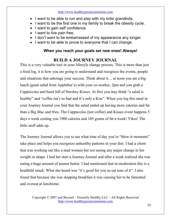- I want to be able to run and play with my kids/ grandkids.
- I want to be the first one in my family to break the obesity cycle.
- I want to gain self confidence.
- I want to live pain free.
- I don't want to be embarrassed of my appearance any longer.
- I want to be able to prove to everyone that I can change.

#### When you reach your goals set new ones! Always!

#### BUILD A JOURNEY JOURNAL

This is a very valuable tool in your lifestyle change process. This is more than just a food log, it is how you are going to understand and recognize the events, people and situations that sabotage your success. Think about it… at noon you ate a big lunch (giant salad from Applebee's) with your co-worker, 2pm and you grab a Cappuccino and hand full of Hershey Kisses. At first you may think "a salad is healthy" and "coffee isn't so bad and it's only a Kiss". When you log this meal in your Journey Journal you find that the salad ended up having more calories and fat than a Big Mac and fries. The Cappuccino (not coffee) and Kisses event happens 5 days a week costing you 1900 calories and 105 grams of fat a week! Yikes! The little stuff adds up.

The Journey Journal allows you to see what time of day you're "blow-it moments" take place and helps you recognize unhealthy patterns in your diet. I had a client that was working out like a mad woman but not seeing any major change in her weight or shape. I had her start a Journey Journal and after a week realized she was eating a huge amount of peanut butter. I had mentioned that in moderation this is a healthful snack. What she heard was "it's good for you so eat tons of it". I also found that because she was skipping breakfast it was causing her to be famished and overeat at lunchtime.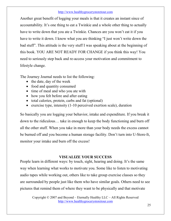Another great benefit of logging your meals is that it creates an instant since of accountability. It's one thing to eat a Twinkie and a whole other thing to actually have to write down that you ate a Twinkie. Chances are you won't eat it if you have to write it down. I know what you are thinking "I just won't write down the bad stuff". This attitude is the very stuff I was speaking about at the beginning of this book. YOU ARE NOT READY FOR CHANGE if you think this way! You need to seriously step back and re-access your motivation and commitment to lifestyle change.

The Journey Journal needs to list the following:

- the date, day of the week
- food and quantity consumed
- time of meal and who you ate with
- how you felt before and after eating
- total calories, protein, carbs and fat (optional)
- exercise type, intensity (1-10 perceived exertion scale), duration

So basically you are logging your behavior, intake and expenditure. If you break it down to the ridiculous… take in enough to keep the body functioning and burn off all the other stuff. When you take in more than your body needs the excess cannot be burned off and you become a human storage facility. Don't turn into U-Store-It, monitor your intake and burn off the excess!

#### VISUALIZE YOUR SUCCESS

People learn in different ways: by touch, sight, hearing and doing. It's the same way when learning what works to motivate you. Some like to listen to motivating audio tapes while working out, others like to take group exercise classes so they are surrounded by people just like them who have similar goals. Others need to see pictures that remind them of where they want to be physically and that motivate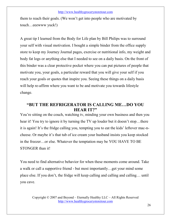them to reach their goals. (We won't get into people who are motivated by touch…eeewww yuck!)

A great tip I learned from the Body for Life plan by Bill Philips was to surround your self with visual motivation. I bought a simple binder from the office supply store to keep my Journey Journal pages, exercise or nutritional info, my weight and body fat logs or anything else that I needed to see on a daily basis. On the front of this binder was a clear protective pocket where you can put pictures of people that motivate you, your goals, a particular reward that you will give your self if you reach your goals or quotes that inspire you. Seeing these things on a daily basis will help re-affirm where you want to be and motivate you towards lifestyle change.

#### "BUT THE REFRIGERATOR IS CALLING ME…DO YOU HEAR IT?"

You're sitting on the couch, watching tv, minding your own business and then you hear it! You try to ignore it by turning the TV up louder but it doesn't stop...there it is again! It's the fridge calling you, tempting you to eat the kids' leftover mac-ncheese. Or maybe it's that tub of ice cream your husband insists you keep stocked in the freezer…or else. Whatever the temptation may be YOU HAVE TO BE STONGER than it!

You need to find alternative behavior for when these moments come around. Take a walk or call a supportive friend - but most importantly…get your mind some place else. If you don't, the fridge will keep calling and calling and calling… until you cave.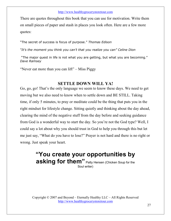There are quotes throughout this book that you can use for motivation. Write them on small pieces of paper and stash in places you look often. Here are a few more quotes:

"The secret of success is focus of purpose." Thomas Edison

"It's the moment you think you can't that you realize you can" Celine Dion

 "The major quest in life is not what you are getting, but what you are becoming." Dave Ramsey

"Never eat more than you can lift" – Miss Piggy

#### SETTLE DOWN WILL YA!

Go, go, go! That's the only language we seem to know these days. We need to get moving but we also need to know when to settle down and BE STILL. Taking time, if only 5 minutes, to pray or meditate could be the thing that puts you in the right mindset for lifestyle change. Sitting quietly and thinking about the day ahead, clearing the mind of the negative stuff from the day before and seeking guidance from God is a wonderful way to start the day. So you're not the God type? Well, I could say a lot about why you should trust in God to help you through this but let me just say, "What do you have to lose?" Prayer is not hard and there is no right or wrong. Just speak your heart.

#### "You create your opportunities by asking for them" Patty Hensen (Chicken Soup for the Soul writer)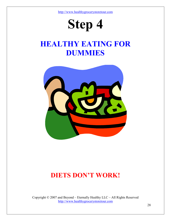## Step 4

## HEALTHY EATING FOR DUMMIES



## DIETS DON'T WORK!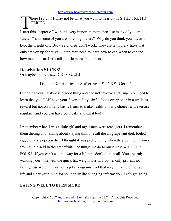here I said it! It may not be what you want to hear but ITS THE TRUTH! PERIOD! There I said it! It may not be what you want to hear but ITS THE TRUT.<br>
I start this chapter off with this very important point because many of you are

"dieters" and some of you are "lifelong dieters". Why do you think you haven't kept the weight off? Because… diets don't work. They are temporary fixes that only set you up for re-gain later. You need to learn how to eat, when to eat and how much to eat. Let's talk a little more about diets.

#### Deprivation SUCKS!

Or maybe I should say DIETS SUCK!

Diets = Deprivation = Suffering = SUCKS! Get it?

Changing your lifestyle is a good thing and doesn't involve suffering. You need to learn that you CAN have your favorite fatty, sinful foods every once in a while as a reward but not on a daily basis. Learn to make healthful daily choices and exercise regularly and you can have your cake and eat it too!

I remember when I was a little girl and my sisters were teenagers. I remember them dieting and talking about staying thin. I recall the all grapefruit diet, boiled egg diet and popcorn diet. I thought it was pretty funny when they got mouth sores from all the acid in the grapefruit. The things we do to ourselves! WAKE UP FOLKS! If you can't eat that way for a lifetime don't do it at all. You are truly wasting your time with the quick fix, weight loss in a bottle, only protein, no eating, lose weight in 24 hours joke programs. Get that way thinking out of your life and clear your mind for some truly life changing information. Let's get going.

#### EATING WELL TO BURN MORE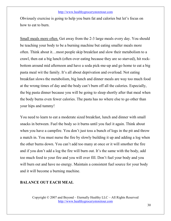Obviously exercise is going to help you burn fat and calories but let's focus on how to eat to burn.

Small meals more often. Get away from the 2-3 large meals every day. You should be teaching your body to be a burning machine but eating smaller meals more often. Think about it…most people skip breakfast and slow their metabolism to a crawl, then eat a big lunch (often over eating because they are so starved), hit rockbottom around mid afternoon and have a soda pick-me-up and go home to eat a big pasta meal wit the family. It's all about deprivation and overload. Not eating breakfast slows the metabolism, big lunch and dinner meals are way too much food at the wrong times of day and the body can't burn off all the calories. Especially, the big pasta dinner because you will be going to sleep shortly after that meal when the body burns even fewer calories. The pasta has no where else to go other than your hips and tummy!

You need to learn to eat a moderate sized breakfast, lunch and dinner with small snacks in between. Fuel the body so it burns until you fuel it again. Think about when you have a campfire. You don't just toss a bunch of logs in the pit and throw a match in. You must nurse the fire by slowly building it up and adding a log when the other burns down. You can't add too many at once or it will smother the fire and if you don't add a log the fire will burn out. It's the same with the body, add too much food to your fire and you will over fill. Don't fuel your body and you will burn out and have no energy. Maintain a consistent fuel source for your body and it will become a burning machine.

#### BALANCE OUT EACH MEAL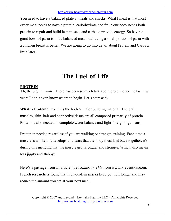You need to have a balanced plate at meals and snacks. What I meal is that most every meal needs to have a protein, carbohydrate and fat. Your body needs both protein to repair and build lean muscle and carbs to provide energy. So having a giant bowl of pasta is not a balanced meal but having a small portion of pasta with a chicken breast is better. We are going to go into detail about Protein and Carbs a little later.

### The Fuel of Life

#### PROTEIN

Ah, the big "P" word. There has been so much talk about protein over the last few years I don't even know where to begin. Let's start with…

What is Protein? Protein is the body's major building material. The brain, muscles, skin, hair and connective tissue are all composed primarily of protein. Protein is also needed to complete water balance and fight foreign organisms.

Protein in needed regardless if you are walking or strength training. Each time a muscle is worked, it develops tiny tears that the body must knit back together; it's during this mending that the muscle grows bigger and stronger. Which also means less jiggly and flabby!

Here's a passage from an article titled Snack on This from www.Prevention.com. French researchers found that high-protein snacks keep you full longer and may reduce the amount you eat at your next meal.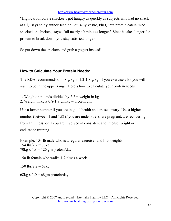"High-carbohydrate snacker's got hungry as quickly as subjects who had no snack at all," says study author Jeanine Louis-Sylvestre, PhD, "but protein eaters, who snacked on chicken, stayed full nearly 40 minutes longer." Since it takes longer for protein to break down, you stay satisfied longer.

So put down the crackers and grab a yogurt instead!

#### How to Calculate Your Protein Needs:

The RDA recommends of 0.8 g/kg to 1.2-1.8 g/kg. If you exercise a lot you will want to be in the upper range. Here's how to calculate your protein needs.

1. Weight in pounds divided by  $2.2$  = weight in kg

2. Weight in kg x  $0.8$ -1.8 gm/kg = protein gm.

Use a lower number if you are in good health and are sedentary. Use a higher number (between 1 and 1.8) if you are under stress, are pregnant, are recovering from an illness, or if you are involved in consistent and intense weight or endurance training.

Example: 154 lb male who is a regular exerciser and lifts weights  $154$   $\text{lbs}/2.2 = 70\text{kg}$ 70kg x  $1.8 = 126$  gm protein/day

150 lb female who walks 1-2 times a week.

 $150$  lbs/2.2 = 68kg

68kg x  $1.0 = 68$ gm protein/day.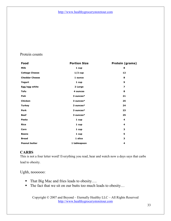#### Protein counts

| Food                  | <b>Portion Size</b> | Protein (grams)         |
|-----------------------|---------------------|-------------------------|
| Milk                  | 1 cup               | 8                       |
| <b>Cottage Cheese</b> | $1/2$ cup           | 12                      |
| <b>Cheddar Cheese</b> | 1 ounce             | 8                       |
| Yogurt                | 1 cup               | 9                       |
| Egg/egg white         | 2 Large             | $\overline{\mathbf{z}}$ |
| <b>Tofu</b>           | 4 ounces            | 8                       |
| Fish                  | 3 ounces*           | 21                      |
| Chicken               | 3 ounces*           | 25                      |
| <b>Turkey</b>         | 3 ounces*           | 24                      |
| <b>Pork</b>           | 3 ounces*           | 23                      |
| <b>Beef</b>           | 3 ounces*           | 25                      |
| Pasta                 | 1 cup               | 4                       |
| <b>Rice</b>           | 1 cup               | 4                       |
| Corn                  | 1 cup               | 3                       |
| <b>Beans</b>          | 1 cup               | 5                       |
| <b>Bread</b>          | 1 slice             | 3                       |
| <b>Peanut butter</b>  | 1 tablespoon        | 4                       |

#### **CARBS**

This is not a four letter word! Everything you read, hear and watch now a days says that carbs lead to obesity.

Ughh, noooooo:

- That Big Mac and fries leads to obesity....
- The fact that we sit on our butts too much leads to obesity...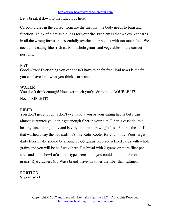Let's break it down to the ridiculous here:

Carbohydrates in the correct form are the fuel that the body needs to burn and function. Think of them as the logs for your fire. Problem is that we overeat carbs in all the wrong forms and essentially overload our bodies with too much fuel. We need to be eating fiber rich carbs in whole grains and vegetables in the correct portions.

#### **FAT**

Good News! Everything you eat doesn't have to be fat free! Bad news is the fat you can have isn't what you think…or want.

#### WATER

You don't drink enough! However much you're drinking...DOUBLE IT! No…TRIPLE IT!

#### **FIRER**

You don't get enough! I don't even know you or your eating habits but I can almost guarantee you don't get enough fiber in your diet. Fiber is essential to a healthy functioning body and is very important in weight loss. Fiber is the stuff that washed away the bad stuff. It's like Roto-Rooter for your body. Your target daily fiber intake should be around 25-35 grams. Replace refined carbs with whole grains and you will be half way there. Eat bread with 2 grams or more fiber per slice and add a bowl of a "bran-type" cereal and you could add up to 8 more grams. Rye crackers (try Wasa brand) have six times the fiber than saltines.

#### PORTION

Supermarket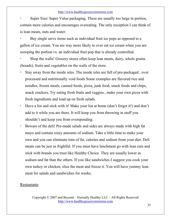- Super Size/ Super Value packaging. These are usually too large in portion, contain more calories and encourages overeating. The only exception I can think of is lean meats, nuts and water.

- Buy single serve items such as individual fruit ice pops as opposed to a gallon of ice cream. You are way more likely to over eat ice cream when you are scooping the portion vs. an individual fruit pop that is already controlled.

- Shop the walls! Grocery stores often keep lean meats, dairy, whole grains (breads), fruits and vegetables on the walls of the store.

- - Stay away from the inside isles. The inside isles are full of pre-packaged , over processed and nutritionally void foods Some examples are flavored rice and noodles, frozen meals, canned foods, pizza, junk food, snack foods and chips, snack crackers. Try eating fresh fruits and veggies , make your own pizza with fresh ingredients and load up on fresh salads.
- - Have a list and stick with it! Make your list at home (don't forget it!) and don't add to it while you are there. It will keep you from throwing in stuff you shouldn't and keep you from overspending.
- - Beware of the deli! Pre-made salads and sides are always made with high fat mayo and contain crazy amounts of sodium. Take a little time to make your own and you can eliminate tons of fat, calories and sodium from your diet. Deli meats can be just as frightful. If you must have lunchmeat go with lean cuts and stick with brands you trust like Healthy Choice. They are usually lower in sodium and fat than the others. If you like sandwiches I suggest you cook your own turkey or chicken, slice the meat and freeze it. You will have yummy lean meat for salads and sandwiches for weeks.

#### Restaurants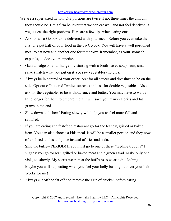- We are a super-sized nation. Our portions are twice if not three times the amount they should be. I'm a firm believer that we can eat well and not feel deprived if we just eat the right portions. Here are a few tips when eating out:
- - Ask for a To Go box to be delivered with your meal. Before you even take the first bite put half of your food in the To Go box. You will have a well portioned meal to eat now and another one for tomorrow. Remember, as your stomach expands, so does your appetite.
- - Gain an edge on your hunger by starting with a broth-based soup, fruit, small salad (watch what you put on it!) or raw vegetables (no dip).
- - Always be in control of your order. Ask for all sauces and dressings to be on the side. Opt out of buttered "white" starches and ask for double vegetables. Also ask for the vegetables to be without sauce and butter. You may have to wait a little longer for them to prepare it but it will save you many calories and fat grams in the end.
- - Slow down and chew! Eating slowly will help you to feel more full and satisfied.
- - If you are eating at a fast-food restaurant go for the leanest, grilled or baked item. You can also choose a kids meal. It will be a smaller portion and they now offer sliced apples and juice instead of fries and soda.
- - Skip the buffet- PERIOD! If you must go to one of these "feeding troughs" I suggest you go for lean grilled or baked meat and a green salad. Make only one visit, eat slowly. My secret weapon at the buffet is to wear tight clothing! Maybe you will stop eating when you feel your belly busting out over your belt. Works for me!
- -Always cut off the fat off and remove the skin of chicken before eating.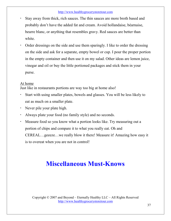- - Stay away from thick, rich sauces. The thin sauces are more broth based and probably don't have the added fat and cream. Avoid hollandaise, béarnaise, beurre blanc, or anything that resembles gravy. Red sauces are better than white.
- - Order dressings on the side and use them sparingly. I like to order the dressing on the side and ask for a separate, empty bowel or cup. I pour the proper portion in the empty container and then use it on my salad. Other ideas are lemon juice, vinegar and oil or buy the little portioned packages and stick them in your purse.

#### At home

Just like in restaurants portions are way too big at home also!

- - Start with using smaller plates, bowels and glasses. You will be less likely to eat as much on a smaller plate.
- -Never pile your plate high.
- -Always plate your food (no family style) and no seconds.
- - Measure food so you know what a portion looks like. Try measuring out a portion of chips and compare it to what you really eat. Oh and CEREAL…geeeze…we really blow it there! Measure it! Amazing how easy it is to overeat when you are not in control!

## Miscellaneous Must-Knows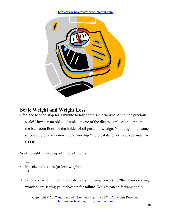

#### Scale Weight and Weight Loss

I feel the need to stop for a minute to talk about scale weight. Ahhh, the precious scale! How can an object that sits on one of the dirtiest surfaces in our home, the bathroom floor, be the holder of all great knowledge. You laugh - but some of you step on every morning to worship "the great deceiver" and you need to STOP!

Scale weight is made up of three elements:

- water
- -Muscle and tissues (or lean weight)
- fat

Those of you who jump on the scale every morning to worship "the de-motivating wonder" are setting yourselves up for failure. Weight can shift dramatically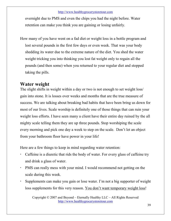overnight due to PMS and even the chips you had the night before. Water retention can make you think you are gaining or losing unfairly.

How many of you have went on a fad diet or weight loss in a bottle program and lost several pounds in the first few days or even week. That was your body shedding its water due to the extreme nature of the diet. You shed the water weight tricking you into thinking you lost fat weight only to regain all the pounds (and then some) when you returned to your regular diet and stopped taking the pills.

#### Water weight

The slight shifts in weight within a day or two is not enough to set weight loss/ gain into stone. It is losses over weeks and months that are the true measure of success. We are talking about breaking bad habits that have been bring us down for most of our lives. Scale worship is definitely one of those things that can ruin your weight loss efforts. I have seen many a client have their entire day ruined by the all mighty scale telling them they are up three pounds. Stop worshiping the scale every morning and pick one day a week to step on the scale. Don't let an object from your bathroom floor have power in your life!

Here are a few things to keep in mind regarding water retention:

- - Caffeine is a diuretic that rids the body of water. For every glass of caffeine try and drink a glass of water.
- - PMS can really mess with your mind. I would recommend not getting on the scale during this week.
- - Supplements can make you gain or lose water. I'm not a big supporter of weight loss supplements for this very reason. You don't want temporary weight loss!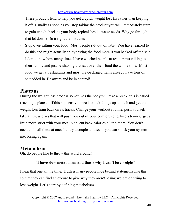These products tend to help you get a quick weight loss fix rather than keeping it off. Usually as soon as you stop taking the product you will immediately start to gain weight back as your body replenishes its water needs. Why go through that let down? Do it right the first time.

- Stop over-salting your food! Most people salt out of habit. You have learned to do this and might actually enjoy tasting the food more if you backed off the salt. I don't know how many times I have watched people at restaurants talking to their family and just be shaking that salt over their food the whole time. Most food we get at restaurants and most pre-packaged items already have tons of salt added in. Be aware and be in control!

#### **Plateaus**

During the weight loss process sometimes the body will take a break, this is called reaching a plateau. If this happens you need to kick things up a notch and get the weight loss train back on its tracks. Change your workout routine, push yourself, take a fitness class that will push you out of your comfort zone, hire a trainer, get a little more strict with your meal plan, cut back calories a little more. You don't need to do all these at once but try a couple and see if you can shock your system into losing again.

#### Metabolism

Oh, do people like to throw this word around!

#### "I have slow metabolism and that's why I can't lose weight".

I hear that one all the time. Truth is many people hide behind statements like this so that they can find an excuse to give why they aren't losing weight or trying to lose weight. Let's start by defining metabolism.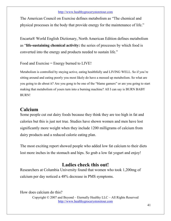The American Council on Exercise defines metabolism as "The chemical and physical processes in the body that provide energy for the maintenance of life."

Encarta® World English Dictionary, North American Edition defines metabolism as "life-sustaining chemical activity: the series of processes by which food is converted into the energy and products needed to sustain life."

Food and Exercise = Energy burned to LIVE!

Metabolism is controlled by staying active, eating healthfully and LIVING WELL. So if you're sitting around and eating poorly you most likely do have a messed up metabolism. So what are you going to do about it? Are you gong to be one of the "blame gamers" or are you going to start making that metabolism of yours turn into a burning machine? All I can say is BURN BABY BURN!

#### Calcium

Some people cut out dairy foods because they think they are too high in fat and calories but this is just not true. Studies have shown women and men have lost significantly more weight when they include 1200 milligrams of calcium from dairy products and a reduced calorie eating plan.

The most exciting report showed people who added low fat calcium to their diets lost more inches in the stomach and hips. So grab a low fat yogurt and enjoy!

#### Ladies check this out!

Researchers at Columbia University found that women who took 1,200mg of calcium per day noticed a 48% decrease in PMS symptoms.

Copyright © 2007 and Beyond – Eternally Healthy LLC – All Rights Reserved http://www.healthygrocerystoretour.com How does calcium do this?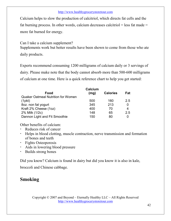Calcium helps to slow the production of calcitriol, which directs fat cells and the fat burning process. In other words, calcium decreases calcitriol  $=$  less fat made  $=$ more fat burned for energy.

Can I take a calcium supplement? Supplements work but better results have been shown to come from those who ate daily products.

Experts recommend consuming 1200 milligrams of calcium daily or 3 servings of dairy. Please make note that the body cannot absorb more than 500-600 milligrams of calcium at one time. Here is a quick reference chart to help you get started:

|                                           | Calcium |                 |     |
|-------------------------------------------|---------|-----------------|-----|
| Food                                      | (mg)    | <b>Calories</b> | Fat |
| <b>Quaker Oatmeal Nutrition for Women</b> |         |                 |     |
| $(1$ pkt $)$                              | 500     | 160             | 2.5 |
| 8oz. non fat yogurt                       | 345     | 213             | 0   |
| Kraft 2% Cheese (1oz)                     | 400     | 70              | 4   |
| 2% Milk (1/2c)                            | 148     | 65              | 2.5 |
| Dannon Light and Fit Smoothie             | 150     | 80              | 0   |

Other benefits of calcium:

- -Reduces risk of cancer
- - Helps in blood clotting, muscle contraction, nerve transmission and formation of bones and teeth
- Fights Osteoporosis
- -Aids in lowering blood pressure
- -Builds strong bones

Did you know? Calcium is found in dairy but did you know it is also in kale,

broccoli and Chinese cabbage.

#### Smoking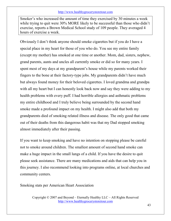Smoker's who increased the amount of time they exercised by 30 minutes a week while trying to quit were 30% MORE likely to be successful than those who didn't exercise, reports a Brown Medical School study of 109 people. They averaged 4 hours of exercise a week.

Obviously I don't think anyone should smoke cigarettes but if you do I have a special place in my heart for those of you who do. You see my entire family (except my mother) has smoked at one time or another. Mom, dad, sisters, nephew, grand parents, aunts and uncles all currently smoke or did so for many years. I spent most of my days at my grandparent's house while my parents worked their fingers to the bone at their factory-type jobs. My grandparents didn't have much but always found money for their beloved cigarettes. I loved grandma and grandpa with all my heart but I can honestly look back now and say they were adding to my health problems with every puff. I had horrible allergies and asthmatic problems my entire childhood and I truly believe being surrounded by the second hand smoke made a profound impact on my health. I might also add that both my grandparents died of smoking related illness and disease. The only good that came out of their deaths from this dangerous habit was that my Dad stopped smoking almost immediately after their passing.

If you want to keep smoking and have no intention on stopping please be careful not to smoke around children. The smallest amount of second hand smoke can make a huge impact in the small lungs of a child. If you have the desire to quit please seek assistance. There are many medications and aids that can help you in this journey. I also recommend looking into programs online, at local churches and community centers.

Smoking stats per American Heart Association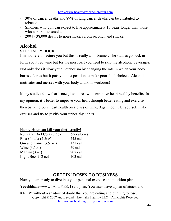- 30% of cancer deaths and 87% of lung cancer deaths can be attributed to tobacco.
- Smokers who quit can expect to live approximately 10 years longer than those who continue to smoke.
- -2004 - 38,000 deaths to non-smokers from second hand smoke.

#### Alcohol

#### SKIP HAPPY HOUR!

I'm not here to lecture you but this is really a no-brainer. The studies go back in forth about red wine but for the most part you need to skip the alcoholic beverages. Not only does it slow your metabolism by changing the rate in which your body burns calories but it puts you in a position to make poor food choices. Alcohol demotivates and messes with your body and kills workouts!

Many studies show that 1 6oz glass of red wine can have heart healthy benefits. In my opinion, it's better to improve your heart through better eating and exercise then banking your heart health on a glass of wine. Again, don't let yourself make excuses and try to justify your unhealthy habits.

| Happy Hour can kill your diet really! |             |
|---------------------------------------|-------------|
| Rum and Diet Cola (3.5oz.)            | 97 calories |
| Pina Colada (4.5oz)                   | 245 cal     |
| Gin and Tonic (3.5 oz.)               | 131 cal     |
| Wine $(3.5oz)$                        | 79 cal      |
| Martini (3 oz)                        | $207$ cal   |
| Light Beer $(12 oz)$                  | $103$ cal   |

#### GETTIN' DOWN TO BUSINESS

Now you are ready to dive into your personal exercise and nutrition plan.

Yeeehhhaaawwww! And YES, I said plan. You must have a plan of attack and

Copyright © 2007 and Beyond – Eternally Healthy LLC – All Rights Reserved http://www.healthygrocerystoretour.com KNOW without a shadow of doubt that you are eating and burning to lose.